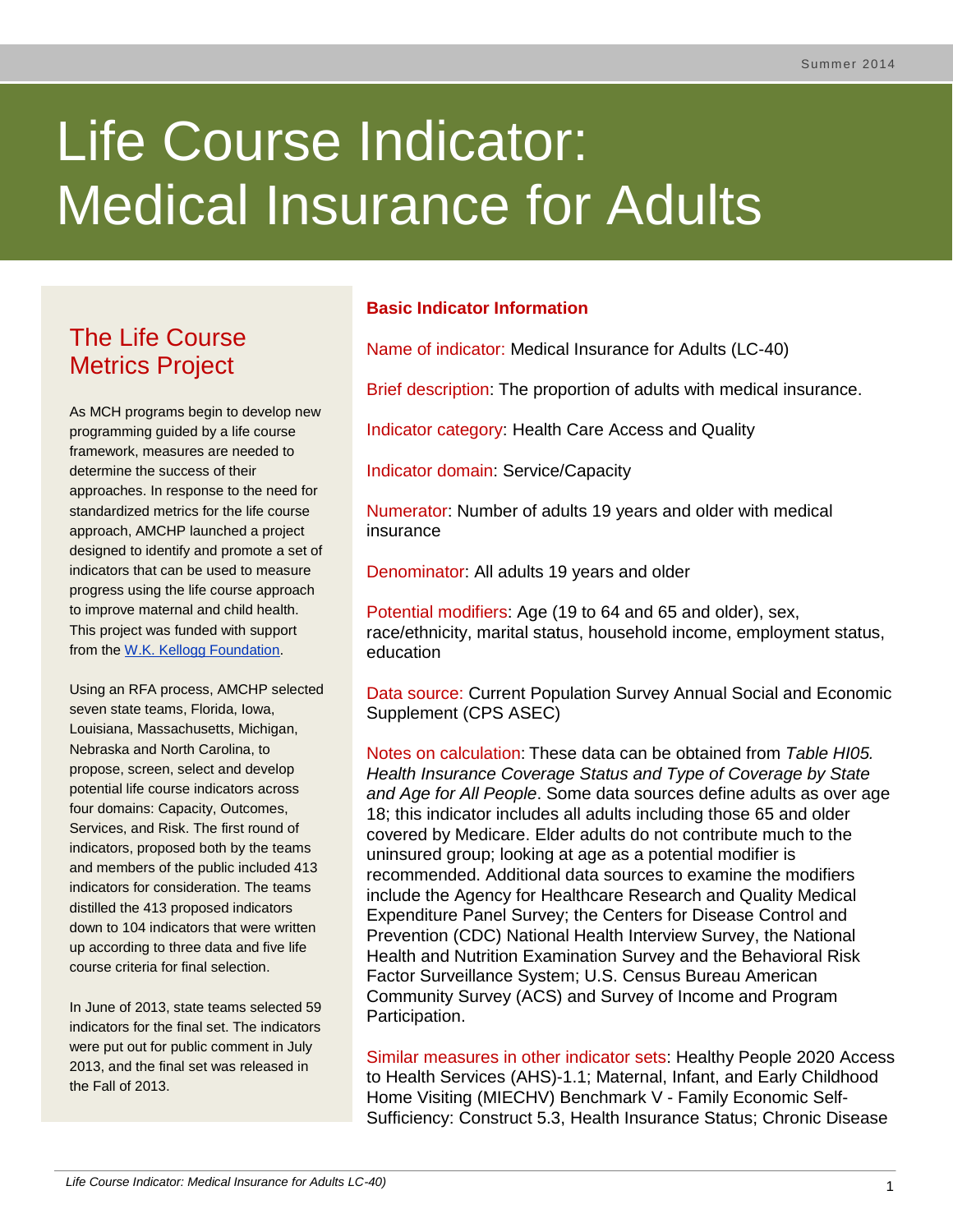# Life Course Indicator: Medical Insurance for Adults

# The Life Course Metrics Project

As MCH programs begin to develop new programming guided by a life course framework, measures are needed to determine the success of their approaches. In response to the need for standardized metrics for the life course approach, AMCHP launched a project designed to identify and promote a set of indicators that can be used to measure progress using the life course approach to improve maternal and child health. This project was funded with support from the [W.K. Kellogg Foundation.](http://www.wkkf.org/)

Using an RFA process, AMCHP selected seven state teams, Florida, Iowa, Louisiana, Massachusetts, Michigan, Nebraska and North Carolina, to propose, screen, select and develop potential life course indicators across four domains: Capacity, Outcomes, Services, and Risk. The first round of indicators, proposed both by the teams and members of the public included 413 indicators for consideration. The teams distilled the 413 proposed indicators down to 104 indicators that were written up according to three data and five life course criteria for final selection.

In June of 2013, state teams selected 59 indicators for the final set. The indicators were put out for public comment in July 2013, and the final set was released in the Fall of 2013.

# **Basic Indicator Information**

Name of indicator: Medical Insurance for Adults (LC-40)

Brief description: The proportion of adults with medical insurance.

Indicator category: Health Care Access and Quality

Indicator domain: Service/Capacity

Numerator: Number of adults 19 years and older with medical insurance

Denominator: All adults 19 years and older

Potential modifiers: Age (19 to 64 and 65 and older), sex, race/ethnicity, marital status, household income, employment status, education

Data source: Current Population Survey Annual Social and Economic Supplement (CPS ASEC)

Notes on calculation: These data can be obtained from *Table HI05. Health Insurance Coverage Status and Type of Coverage by State and Age for All People*. Some data sources define adults as over age 18; this indicator includes all adults including those 65 and older covered by Medicare. Elder adults do not contribute much to the uninsured group; looking at age as a potential modifier is recommended. Additional data sources to examine the modifiers include the Agency for Healthcare Research and Quality Medical Expenditure Panel Survey; the Centers for Disease Control and Prevention (CDC) National Health Interview Survey, the National Health and Nutrition Examination Survey and the Behavioral Risk Factor Surveillance System; U.S. Census Bureau American Community Survey (ACS) and Survey of Income and Program Participation.

Similar measures in other indicator sets: Healthy People 2020 Access to Health Services (AHS)-1.1; Maternal, Infant, and Early Childhood Home Visiting (MIECHV) Benchmark V - Family Economic Self-Sufficiency: Construct 5.3, Health Insurance Status; Chronic Disease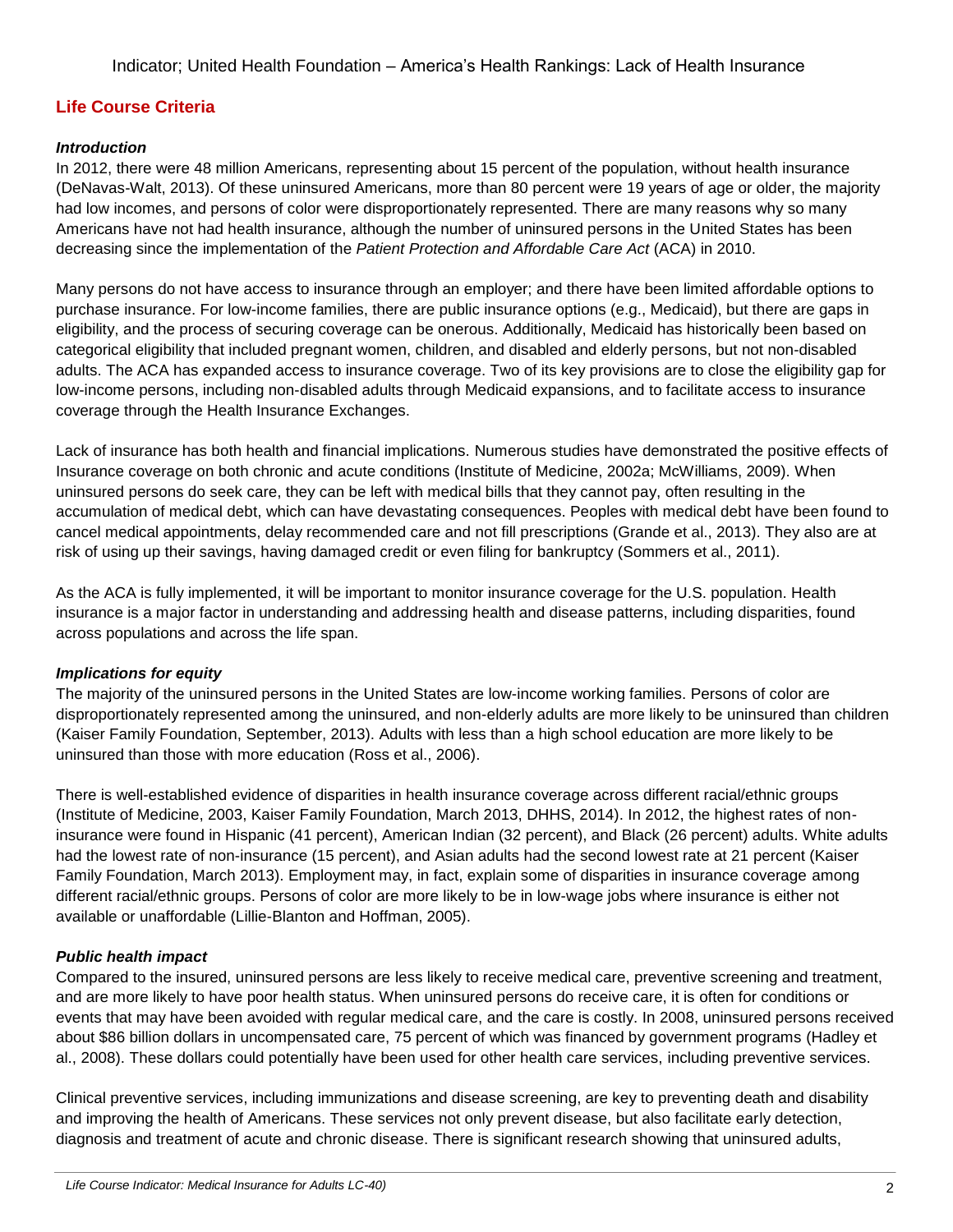# **Life Course Criteria**

#### *Introduction*

In 2012, there were 48 million Americans, representing about 15 percent of the population, without health insurance (DeNavas-Walt, 2013). Of these uninsured Americans, more than 80 percent were 19 years of age or older, the majority had low incomes, and persons of color were disproportionately represented. There are many reasons why so many Americans have not had health insurance, although the number of uninsured persons in the United States has been decreasing since the implementation of the *Patient Protection and Affordable Care Act* (ACA) in 2010.

Many persons do not have access to insurance through an employer; and there have been limited affordable options to purchase insurance. For low-income families, there are public insurance options (e.g., Medicaid), but there are gaps in eligibility, and the process of securing coverage can be onerous. Additionally, Medicaid has historically been based on categorical eligibility that included pregnant women, children, and disabled and elderly persons, but not non-disabled adults. The ACA has expanded access to insurance coverage. Two of its key provisions are to close the eligibility gap for low-income persons, including non-disabled adults through Medicaid expansions, and to facilitate access to insurance coverage through the Health Insurance Exchanges.

Lack of insurance has both health and financial implications. Numerous studies have demonstrated the positive effects of Insurance coverage on both chronic and acute conditions (Institute of Medicine, 2002a; McWilliams, 2009). When uninsured persons do seek care, they can be left with medical bills that they cannot pay, often resulting in the accumulation of medical debt, which can have devastating consequences. Peoples with medical debt have been found to cancel medical appointments, delay recommended care and not fill prescriptions (Grande et al., 2013). They also are at risk of using up their savings, having damaged credit or even filing for bankruptcy (Sommers et al., 2011).

As the ACA is fully implemented, it will be important to monitor insurance coverage for the U.S. population. Health insurance is a major factor in understanding and addressing health and disease patterns, including disparities, found across populations and across the life span.

#### *Implications for equity*

The majority of the uninsured persons in the United States are low-income working families. Persons of color are disproportionately represented among the uninsured, and non-elderly adults are more likely to be uninsured than children (Kaiser Family Foundation, September, 2013). Adults with less than a high school education are more likely to be uninsured than those with more education (Ross et al., 2006).

There is well-established evidence of disparities in health insurance coverage across different racial/ethnic groups (Institute of Medicine, 2003, Kaiser Family Foundation, March 2013, DHHS, 2014). In 2012, the highest rates of noninsurance were found in Hispanic (41 percent), American Indian (32 percent), and Black (26 percent) adults. White adults had the lowest rate of non-insurance (15 percent), and Asian adults had the second lowest rate at 21 percent (Kaiser Family Foundation, March 2013). Employment may, in fact, explain some of disparities in insurance coverage among different racial/ethnic groups. Persons of color are more likely to be in low-wage jobs where insurance is either not available or unaffordable (Lillie-Blanton and Hoffman, 2005).

## *Public health impact*

Compared to the insured, uninsured persons are less likely to receive medical care, preventive screening and treatment, and are more likely to have poor health status. When uninsured persons do receive care, it is often for conditions or events that may have been avoided with regular medical care, and the care is costly. In 2008, uninsured persons received about \$86 billion dollars in uncompensated care, 75 percent of which was financed by government programs (Hadley et al., 2008). These dollars could potentially have been used for other health care services, including preventive services.

Clinical preventive services, including immunizations and disease screening, are key to preventing death and disability and improving the health of Americans. These services not only prevent disease, but also facilitate early detection, diagnosis and treatment of acute and chronic disease. There is significant research showing that uninsured adults,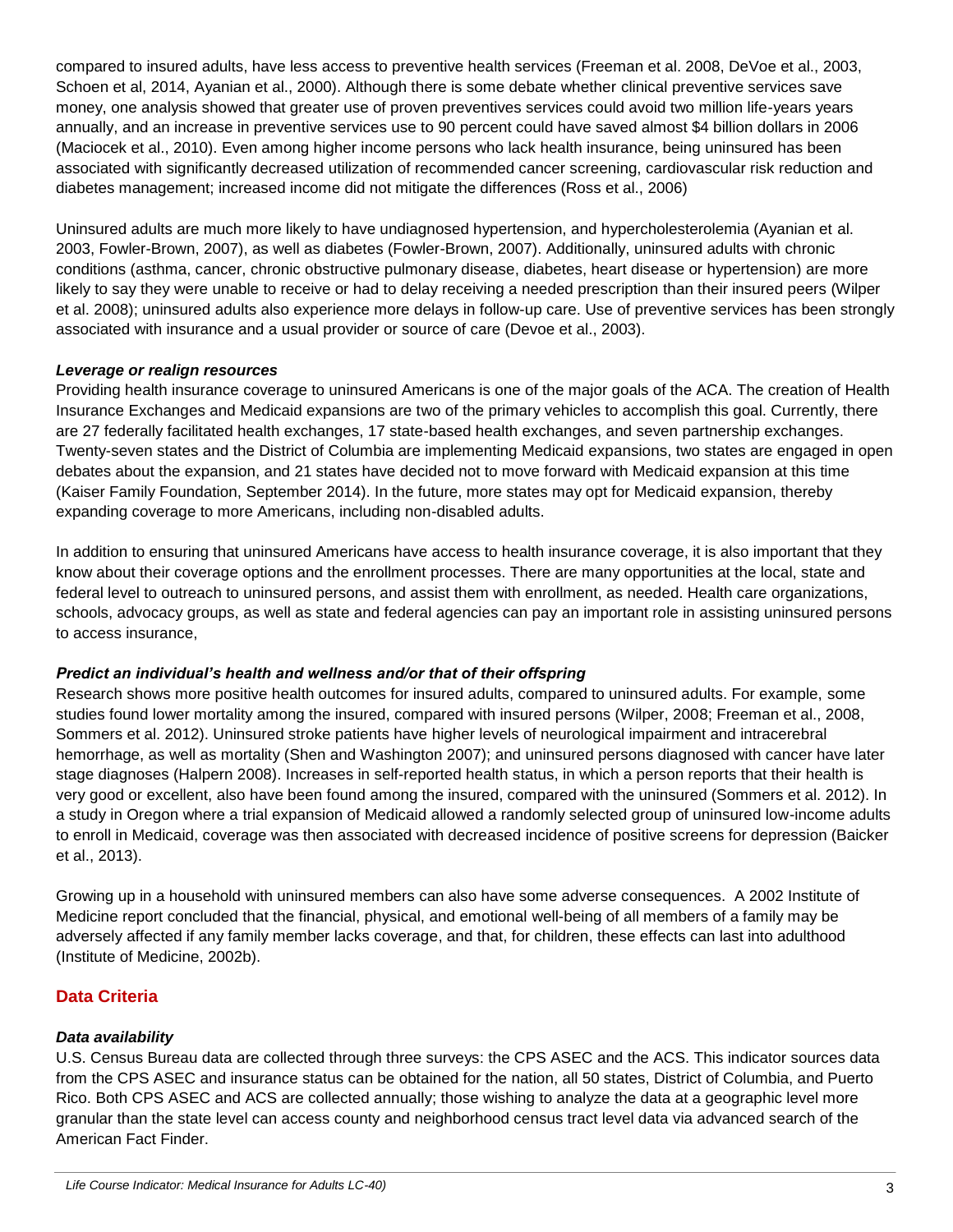compared to insured adults, have less access to preventive health services (Freeman et al. 2008, DeVoe et al., 2003, Schoen et al, 2014, Ayanian et al., 2000). Although there is some debate whether clinical preventive services save money, one analysis showed that greater use of proven preventives services could avoid two million life-years years annually, and an increase in preventive services use to 90 percent could have saved almost \$4 billion dollars in 2006 (Maciocek et al., 2010). Even among higher income persons who lack health insurance, being uninsured has been associated with significantly decreased utilization of recommended cancer screening, cardiovascular risk reduction and diabetes management; increased income did not mitigate the differences (Ross et al., 2006)

Uninsured adults are much more likely to have undiagnosed hypertension, and hypercholesterolemia (Ayanian et al. 2003, Fowler-Brown, 2007), as well as diabetes (Fowler-Brown, 2007). Additionally, uninsured adults with chronic conditions (asthma, cancer, chronic obstructive pulmonary disease, diabetes, heart disease or hypertension) are more likely to say they were unable to receive or had to delay receiving a needed prescription than their insured peers (Wilper et al. 2008); uninsured adults also experience more delays in follow-up care. Use of preventive services has been strongly associated with insurance and a usual provider or source of care (Devoe et al., 2003).

#### *Leverage or realign resources*

Providing health insurance coverage to uninsured Americans is one of the major goals of the ACA. The creation of Health Insurance Exchanges and Medicaid expansions are two of the primary vehicles to accomplish this goal. Currently, there are 27 federally facilitated health exchanges, 17 state-based health exchanges, and seven partnership exchanges. Twenty-seven states and the District of Columbia are implementing Medicaid expansions, two states are engaged in open debates about the expansion, and 21 states have decided not to move forward with Medicaid expansion at this time (Kaiser Family Foundation, September 2014). In the future, more states may opt for Medicaid expansion, thereby expanding coverage to more Americans, including non-disabled adults.

In addition to ensuring that uninsured Americans have access to health insurance coverage, it is also important that they know about their coverage options and the enrollment processes. There are many opportunities at the local, state and federal level to outreach to uninsured persons, and assist them with enrollment, as needed. Health care organizations, schools, advocacy groups, as well as state and federal agencies can pay an important role in assisting uninsured persons to access insurance,

#### *Predict an individual's health and wellness and/or that of their offspring*

Research shows more positive health outcomes for insured adults, compared to uninsured adults. For example, some studies found lower mortality among the insured, compared with insured persons (Wilper, 2008; Freeman et al., 2008, Sommers et al. 2012). Uninsured stroke patients have higher levels of neurological impairment and intracerebral hemorrhage, as well as mortality (Shen and Washington 2007); and uninsured persons diagnosed with cancer have later stage diagnoses (Halpern 2008). Increases in self-reported health status, in which a person reports that their health is very good or excellent, also have been found among the insured, compared with the uninsured (Sommers et al. 2012). In a study in Oregon where a trial expansion of Medicaid allowed a randomly selected group of uninsured low-income adults to enroll in Medicaid, coverage was then associated with decreased incidence of positive screens for depression (Baicker et al., 2013).

Growing up in a household with uninsured members can also have some adverse consequences. A 2002 Institute of Medicine report concluded that the financial, physical, and emotional well-being of all members of a family may be adversely affected if any family member lacks coverage, and that, for children, these effects can last into adulthood (Institute of Medicine, 2002b).

#### **Data Criteria**

#### *Data availability*

U.S. Census Bureau data are collected through three surveys: the CPS ASEC and the ACS. This indicator sources data from the CPS ASEC and insurance status can be obtained for the nation, all 50 states, District of Columbia, and Puerto Rico. Both CPS ASEC and ACS are collected annually; those wishing to analyze the data at a geographic level more granular than the state level can access county and neighborhood census tract level data via advanced search of the American Fact Finder.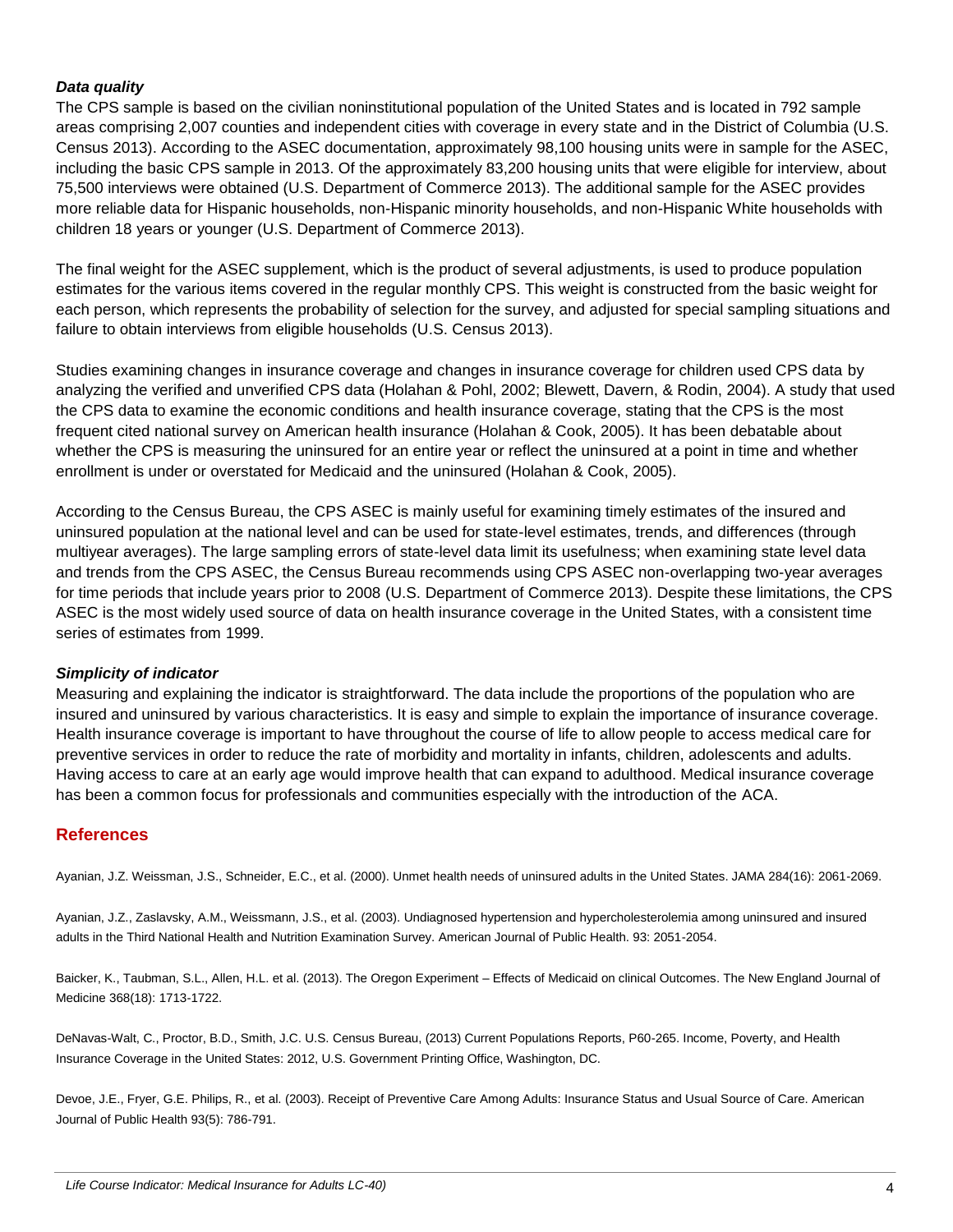#### *Data quality*

The CPS sample is based on the civilian noninstitutional population of the United States and is located in 792 sample areas comprising 2,007 counties and independent cities with coverage in every state and in the District of Columbia (U.S. Census 2013). According to the ASEC documentation, approximately 98,100 housing units were in sample for the ASEC, including the basic CPS sample in 2013. Of the approximately 83,200 housing units that were eligible for interview, about 75,500 interviews were obtained (U.S. Department of Commerce 2013). The additional sample for the ASEC provides more reliable data for Hispanic households, non-Hispanic minority households, and non-Hispanic White households with children 18 years or younger (U.S. Department of Commerce 2013).

The final weight for the ASEC supplement, which is the product of several adjustments, is used to produce population estimates for the various items covered in the regular monthly CPS. This weight is constructed from the basic weight for each person, which represents the probability of selection for the survey, and adjusted for special sampling situations and failure to obtain interviews from eligible households (U.S. Census 2013).

Studies examining changes in insurance coverage and changes in insurance coverage for children used CPS data by analyzing the verified and unverified CPS data (Holahan & Pohl, 2002; Blewett, Davern, & Rodin, 2004). A study that used the CPS data to examine the economic conditions and health insurance coverage, stating that the CPS is the most frequent cited national survey on American health insurance (Holahan & Cook, 2005). It has been debatable about whether the CPS is measuring the uninsured for an entire year or reflect the uninsured at a point in time and whether enrollment is under or overstated for Medicaid and the uninsured (Holahan & Cook, 2005).

According to the Census Bureau, the CPS ASEC is mainly useful for examining timely estimates of the insured and uninsured population at the national level and can be used for state-level estimates, trends, and differences (through multiyear averages). The large sampling errors of state-level data limit its usefulness; when examining state level data and trends from the CPS ASEC, the Census Bureau recommends using CPS ASEC non-overlapping two-year averages for time periods that include years prior to 2008 (U.S. Department of Commerce 2013). Despite these limitations, the CPS ASEC is the most widely used source of data on health insurance coverage in the United States, with a consistent time series of estimates from 1999.

#### *Simplicity of indicator*

Measuring and explaining the indicator is straightforward. The data include the proportions of the population who are insured and uninsured by various characteristics. It is easy and simple to explain the importance of insurance coverage. Health insurance coverage is important to have throughout the course of life to allow people to access medical care for preventive services in order to reduce the rate of morbidity and mortality in infants, children, adolescents and adults. Having access to care at an early age would improve health that can expand to adulthood. Medical insurance coverage has been a common focus for professionals and communities especially with the introduction of the ACA.

## **References**

Ayanian, J.Z. Weissman, J.S., Schneider, E.C., et al. (2000). Unmet health needs of uninsured adults in the United States. JAMA 284(16): 2061-2069.

Ayanian, J.Z., Zaslavsky, A.M., Weissmann, J.S., et al. (2003). Undiagnosed hypertension and hypercholesterolemia among uninsured and insured adults in the Third National Health and Nutrition Examination Survey. American Journal of Public Health. 93: 2051-2054.

Baicker, K., Taubman, S.L., Allen, H.L. et al. (2013). The Oregon Experiment – Effects of Medicaid on clinical Outcomes. The New England Journal of Medicine 368(18): 1713-1722.

DeNavas-Walt, C., Proctor, B.D., Smith, J.C. U.S. Census Bureau, (2013) Current Populations Reports, P60-265. Income, Poverty, and Health Insurance Coverage in the United States: 2012, U.S. Government Printing Office, Washington, DC.

Devoe, J.E., Fryer, G.E. Philips, R., et al. (2003). Receipt of Preventive Care Among Adults: Insurance Status and Usual Source of Care. American Journal of Public Health 93(5): 786-791.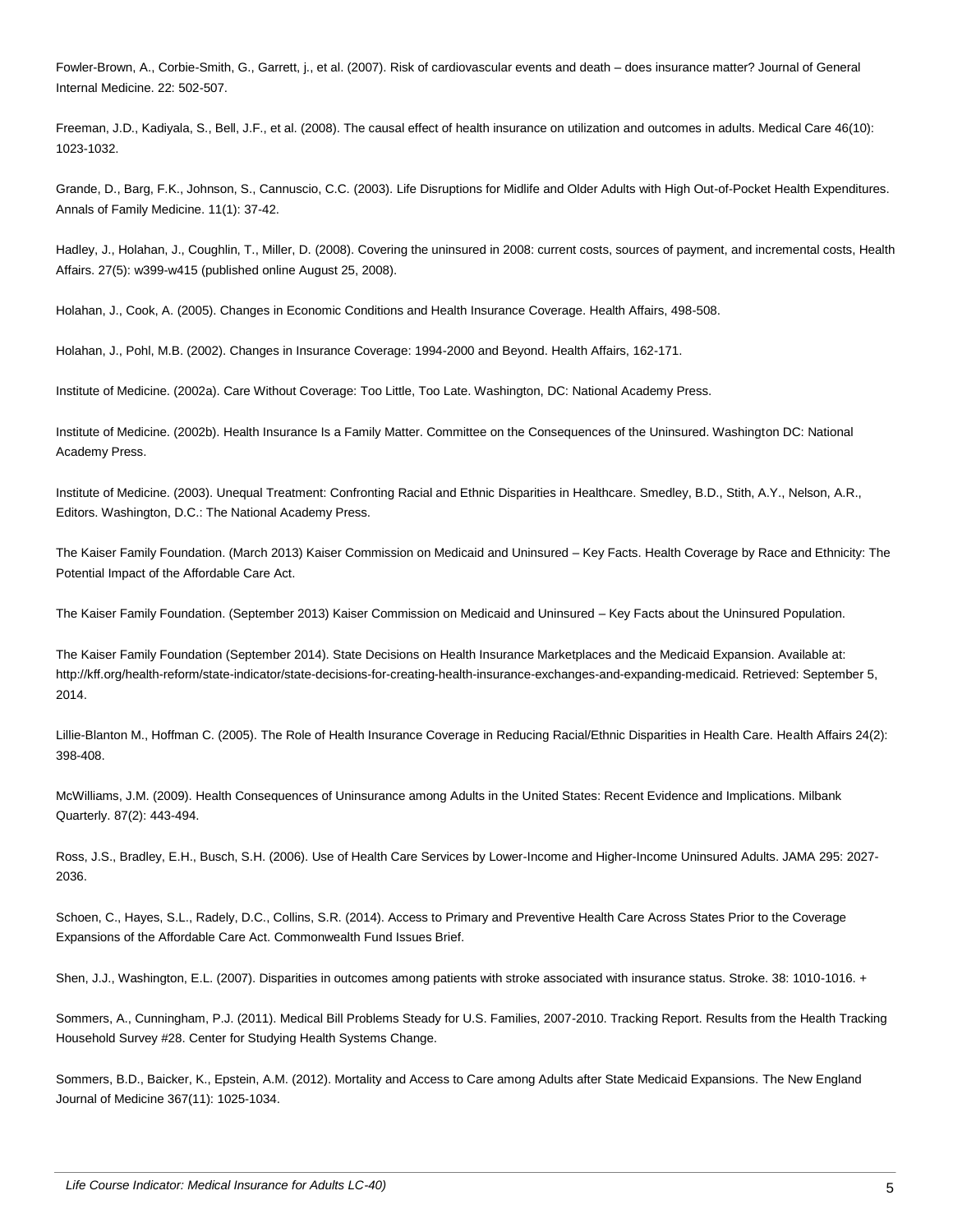Fowler-Brown, A., Corbie-Smith, G., Garrett, j., et al. (2007). Risk of cardiovascular events and death – does insurance matter? Journal of General Internal Medicine. 22: 502-507.

Freeman, J.D., Kadiyala, S., Bell, J.F., et al. (2008). The causal effect of health insurance on utilization and outcomes in adults. Medical Care 46(10): 1023-1032.

Grande, D., Barg, F.K., Johnson, S., Cannuscio, C.C. (2003). Life Disruptions for Midlife and Older Adults with High Out-of-Pocket Health Expenditures. Annals of Family Medicine. 11(1): 37-42.

Hadley, J., Holahan, J., Coughlin, T., Miller, D. (2008). Covering the uninsured in 2008: current costs, sources of payment, and incremental costs, Health Affairs. 27(5): w399-w415 (published online August 25, 2008).

Holahan, J., Cook, A. (2005). Changes in Economic Conditions and Health Insurance Coverage. Health Affairs, 498-508.

Holahan, J., Pohl, M.B. (2002). Changes in Insurance Coverage: 1994-2000 and Beyond. Health Affairs, 162-171.

Institute of Medicine. (2002a). Care Without Coverage: Too Little, Too Late. Washington, DC: National Academy Press.

Institute of Medicine. (2002b). Health Insurance Is a Family Matter. Committee on the Consequences of the Uninsured. Washington DC: National Academy Press.

Institute of Medicine. (2003). Unequal Treatment: Confronting Racial and Ethnic Disparities in Healthcare. Smedley, B.D., Stith, A.Y., Nelson, A.R., Editors. Washington, D.C.: The National Academy Press.

The Kaiser Family Foundation. (March 2013) Kaiser Commission on Medicaid and Uninsured – Key Facts. Health Coverage by Race and Ethnicity: The Potential Impact of the Affordable Care Act.

The Kaiser Family Foundation. (September 2013) Kaiser Commission on Medicaid and Uninsured – Key Facts about the Uninsured Population.

The Kaiser Family Foundation (September 2014). State Decisions on Health Insurance Marketplaces and the Medicaid Expansion. Available at: http://kff.org/health-reform/state-indicator/state-decisions-for-creating-health-insurance-exchanges-and-expanding-medicaid. Retrieved: September 5, 2014.

Lillie-Blanton M., Hoffman C. (2005). The Role of Health Insurance Coverage in Reducing Racial/Ethnic Disparities in Health Care. Health Affairs 24(2): 398-408.

McWilliams, J.M. (2009). Health Consequences of Uninsurance among Adults in the United States: Recent Evidence and Implications. Milbank Quarterly. 87(2): 443-494.

Ross, J.S., Bradley, E.H., Busch, S.H. (2006). Use of Health Care Services by Lower-Income and Higher-Income Uninsured Adults. JAMA 295: 2027- 2036.

Schoen, C., Hayes, S.L., Radely, D.C., Collins, S.R. (2014). Access to Primary and Preventive Health Care Across States Prior to the Coverage Expansions of the Affordable Care Act. Commonwealth Fund Issues Brief.

Shen, J.J., Washington, E.L. (2007). Disparities in outcomes among patients with stroke associated with insurance status. Stroke. 38: 1010-1016. +

Sommers, A., Cunningham, P.J. (2011). Medical Bill Problems Steady for U.S. Families, 2007-2010. Tracking Report. Results from the Health Tracking Household Survey #28. Center for Studying Health Systems Change.

Sommers, B.D., Baicker, K., Epstein, A.M. (2012). Mortality and Access to Care among Adults after State Medicaid Expansions. The New England Journal of Medicine 367(11): 1025-1034.